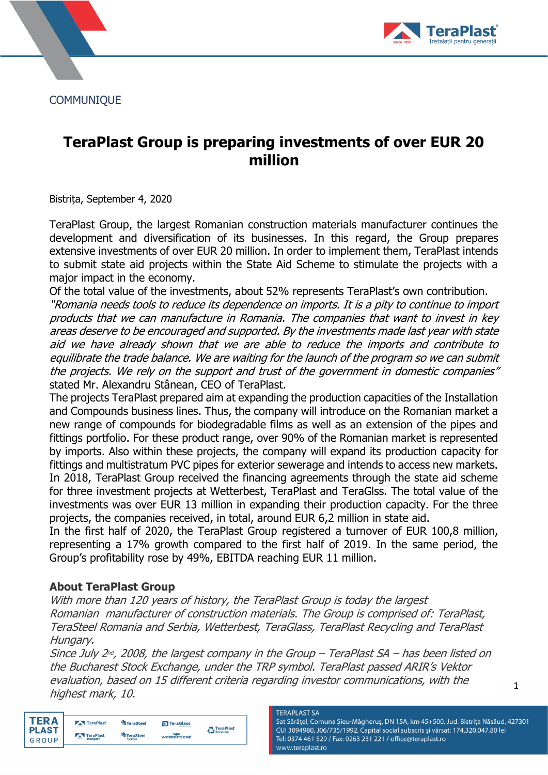**COMMUNIQUE** 



# **TeraPlast Group is preparing investments of over EUR 20 million**

Bistrița, September 4, 2020

TeraPlast Group, the largest Romanian construction materials manufacturer continues the development and diversification of its businesses. In this regard, the Group prepares extensive investments of over EUR 20 million. In order to implement them, TeraPlast intends to submit state aid projects within the State Aid Scheme to stimulate the projects with a major impact in the economy.

Of the total value of the investments, about 52% represents TeraPlast's own contribution.

"Romania needs tools to reduce its dependence on imports. It is a pity to continue to import products that we can manufacture in Romania. The companies that want to invest in key areas deserve to be encouraged and supported. By the investments made last year with state aid we have already shown that we are able to reduce the imports and contribute to equilibrate the trade balance. We are waiting for the launch of the program so we can submit the projects. We rely on the support and trust of the government in domestic companies" stated Mr. Alexandru Stânean, CEO of TeraPlast.

The projects TeraPlast prepared aim at expanding the production capacities of the Installation and Compounds business lines. Thus, the company will introduce on the Romanian market a new range of compounds for biodegradable films as well as an extension of the pipes and fittings portfolio. For these product range, over 90% of the Romanian market is represented by imports. Also within these projects, the company will expand its production capacity for fittings and multistratum PVC pipes for exterior sewerage and intends to access new markets. In 2018, TeraPlast Group received the financing agreements through the state aid scheme for three investment projects at Wetterbest, TeraPlast and TeraGlss. The total value of the investments was over EUR 13 million in expanding their production capacity. For the three projects, the companies received, in total, around EUR 6,2 million in state aid.

In the first half of 2020, the TeraPlast Group registered a turnover of EUR 100,8 million, representing a 17% growth compared to the first half of 2019. In the same period, the Group's profitability rose by 49%, EBITDA reaching EUR 11 million.

### **About TeraPlast Group**

With more than 120 years of history, the TeraPlast Group is today the largest Romanian manufacturer of construction materials. The Group is comprised of: TeraPlast, TeraSteel Romania and Serbia, Wetterbest, TeraGlass, TeraPlast Recycling and TeraPlast Hungary.

Since July 2nd, 2008, the largest company in the Group – TeraPlast SA – has been listed on the Bucharest Stock Exchange, under the TRP symbol. TeraPlast passed ARIR's Vektor evaluation, based on 15 different criteria regarding investor communications, with the highest mark, 10.

**TERA** TeraPlast TeraSteel **IN** TeraGlass TeraPlast<br>
Recycling **PLAST** TeraPlast TeraSteel wetterbes GROUP

#### **TERAPLAST SA**

Sat Sărățel, Comuna Șieu-Măgheruș, DN 15A, km 45+500, Jud. Bistrița Năsăud, 427301 CUI 3094980, J06/735/1992, Capital social subscris și vărsat: 174.320.047,80 lei Tel: 0374 461 529 / Fax: 0263 231 221 / office@teraplast.ro www.teraplast.ro

1